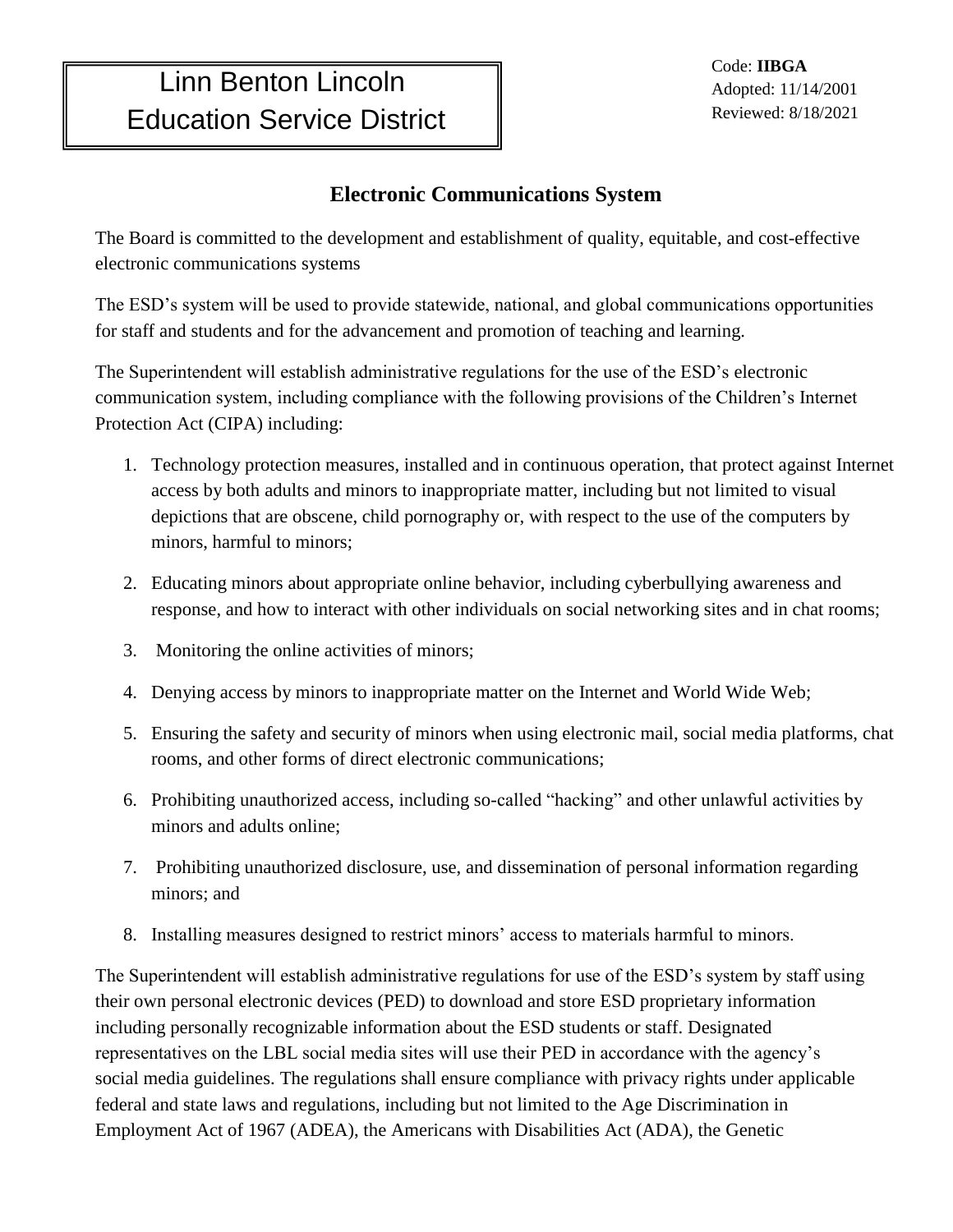٦

## **Electronic Communications System**

The Board is committed to the development and establishment of quality, equitable, and cost-effective electronic communications systems

The ESD's system will be used to provide statewide, national, and global communications opportunities for staff and students and for the advancement and promotion of teaching and learning.

The Superintendent will establish administrative regulations for the use of the ESD's electronic communication system, including compliance with the following provisions of the Children's Internet Protection Act (CIPA) including:

- 1. Technology protection measures, installed and in continuous operation, that protect against Internet access by both adults and minors to inappropriate matter, including but not limited to visual depictions that are obscene, child pornography or, with respect to the use of the computers by minors, harmful to minors;
- 2. Educating minors about appropriate online behavior, including cyberbullying awareness and response, and how to interact with other individuals on social networking sites and in chat rooms;
- 3. Monitoring the online activities of minors;
- 4. Denying access by minors to inappropriate matter on the Internet and World Wide Web;
- 5. Ensuring the safety and security of minors when using electronic mail, social media platforms, chat rooms, and other forms of direct electronic communications;
- 6. Prohibiting unauthorized access, including so-called "hacking" and other unlawful activities by minors and adults online;
- 7. Prohibiting unauthorized disclosure, use, and dissemination of personal information regarding minors; and
- 8. Installing measures designed to restrict minors' access to materials harmful to minors.

The Superintendent will establish administrative regulations for use of the ESD's system by staff using their own personal electronic devices (PED) to download and store ESD proprietary information including personally recognizable information about the ESD students or staff. Designated representatives on the LBL social media sites will use their PED in accordance with the agency's social media guidelines. The regulations shall ensure compliance with privacy rights under applicable federal and state laws and regulations, including but not limited to the Age Discrimination in Employment Act of 1967 (ADEA), the Americans with Disabilities Act (ADA), the Genetic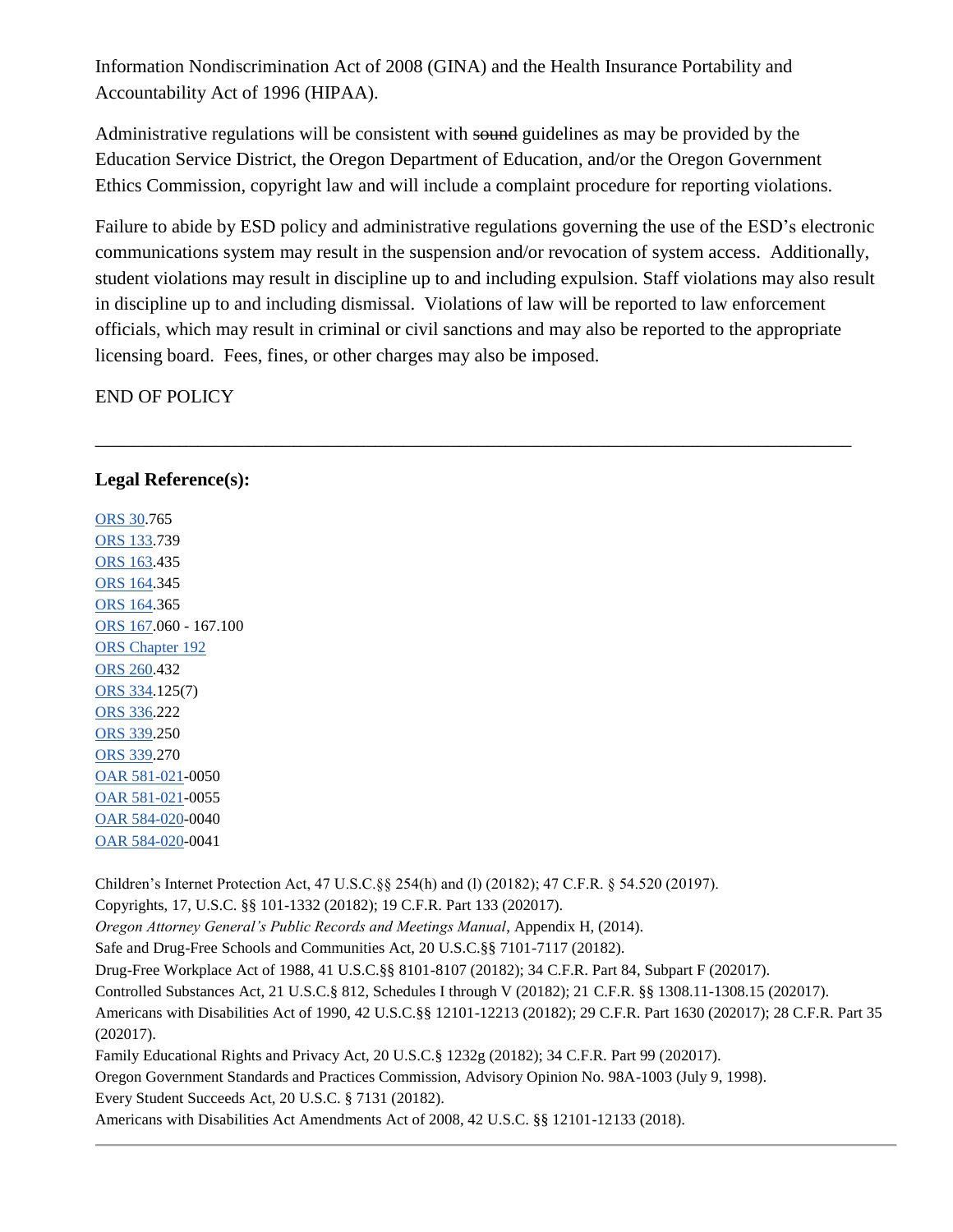Information Nondiscrimination Act of 2008 (GINA) and the Health Insurance Portability and Accountability Act of 1996 (HIPAA).

Administrative regulations will be consistent with sound guidelines as may be provided by the Education Service District, the Oregon Department of Education, and/or the Oregon Government Ethics Commission, copyright law and will include a complaint procedure for reporting violations.

Failure to abide by ESD policy and administrative regulations governing the use of the ESD's electronic communications system may result in the suspension and/or revocation of system access. Additionally, student violations may result in discipline up to and including expulsion. Staff violations may also result in discipline up to and including dismissal. Violations of law will be reported to law enforcement officials, which may result in criminal or civil sanctions and may also be reported to the appropriate licensing board. Fees, fines, or other charges may also be imposed.

\_\_\_\_\_\_\_\_\_\_\_\_\_\_\_\_\_\_\_\_\_\_\_\_\_\_\_\_\_\_\_\_\_\_\_\_\_\_\_\_\_\_\_\_\_\_\_\_\_\_\_\_\_\_\_\_\_\_\_\_\_\_\_\_\_\_\_\_\_\_\_\_\_\_\_\_\_\_\_\_\_

END OF POLICY

## **Legal Reference(s):**

[ORS 30.](http://policy.osba.org/orsredir.asp?ors=ors--30)765 [ORS 133.](http://policy.osba.org/orsredir.asp?ors=ors-133)739 [ORS 163.](http://policy.osba.org/orsredir.asp?ors=ors-163)435 [ORS 164.](http://policy.osba.org/orsredir.asp?ors=ors-164)345 [ORS 164.](http://policy.osba.org/orsredir.asp?ors=ors-164)365 [ORS 167.](http://policy.osba.org/orsredir.asp?ors=ors-167)060 - 167.100 [ORS Chapter 192](http://policy.osba.org/orsredir.asp?ors=ors-chapter-192) [ORS 260.](http://policy.osba.org/orsredir.asp?ors=ors-260)432 [ORS 334.](http://policy.osba.org/orsredir.asp?ors=ors-334)125(7) [ORS 336.](http://policy.osba.org/orsredir.asp?ors=ors-336)222 [ORS 339.](http://policy.osba.org/orsredir.asp?ors=ors-339)250 [ORS 339.](http://policy.osba.org/orsredir.asp?ors=ors-339)270 [OAR 581-021-](http://policy.osba.org/orsredir.asp?ors=oar-581-021)0050 [OAR 581-021-](http://policy.osba.org/orsredir.asp?ors=oar-581-021)0055 [OAR 584-020-](http://policy.osba.org/orsredir.asp?ors=oar-584-020)0040 [OAR 584-020-](http://policy.osba.org/orsredir.asp?ors=oar-584-020)0041

Children's Internet Protection Act, 47 U.S.C.§§ 254(h) and (l) (20182); 47 C.F.R. § 54.520 (20197).

Copyrights, 17, U.S.C. §§ 101-1332 (20182); 19 C.F.R. Part 133 (202017).

*Oregon Attorney General's Public Records and Meetings Manual*, Appendix H, (2014).

Safe and Drug-Free Schools and Communities Act, 20 U.S.C.§§ 7101-7117 (20182).

Drug-Free Workplace Act of 1988, 41 U.S.C.§§ 8101-8107 (20182); 34 C.F.R. Part 84, Subpart F (202017).

Controlled Substances Act, 21 U.S.C.§ 812, Schedules I through V (20182); 21 C.F.R. §§ 1308.11-1308.15 (202017).

Americans with Disabilities Act of 1990, 42 U.S.C.§§ 12101-12213 (20182); 29 C.F.R. Part 1630 (202017); 28 C.F.R. Part 35 (202017).

Family Educational Rights and Privacy Act, 20 U.S.C.§ 1232g (20182); 34 C.F.R. Part 99 (202017).

Oregon Government Standards and Practices Commission, Advisory Opinion No. 98A-1003 (July 9, 1998).

Every Student Succeeds Act, 20 U.S.C. § 7131 (20182).

Americans with Disabilities Act Amendments Act of 2008, 42 U.S.C. §§ 12101-12133 (2018).